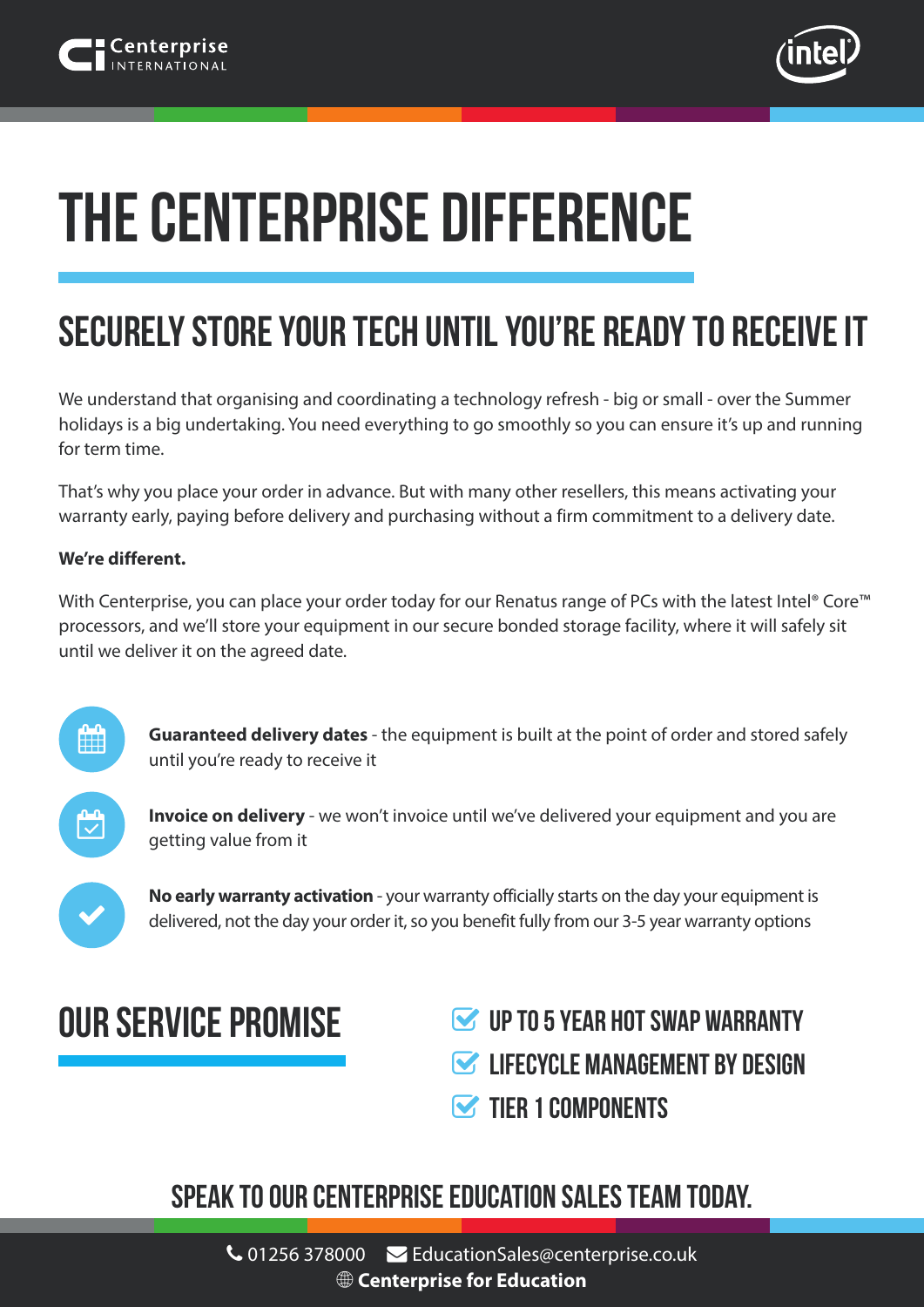

# **The Centerprise Difference**

# **Securely store your tech until you're ready to receive it**

We understand that organising and coordinating a technology refresh - big or small - over the Summer holidays is a big undertaking. You need everything to go smoothly so you can ensure it's up and running for term time.

That's why you place your order in advance. But with many other resellers, this means activating your warranty early, paying before delivery and purchasing without a firm commitment to a delivery date.

#### **We're different.**

With Centerprise, you can place your order today for our Renatus range of PCs with the latest Intel® Core™ processors, and we'll store your equipment in our secure bonded storage facility, where it will safely sit until we deliver it on the agreed date.



**Guaranteed delivery dates** - the equipment is built at the point of order and stored safely until you're ready to receive it



**Invoice on delivery** - we won't invoice until we've delivered your equipment and you are getting value from it



**No early warranty activation** - your warranty officially starts on the day your equipment is delivered, not the day your order it, so you benefit fully from our 3-5 year warranty options

## **OUR SERVICE PROMISE**

- **UP TO 5 YEAR Hot swap WARRANTY**
- **LIFECYCLE MANAGEMENT BY DESIGN**
- **TIFR 1 COMPONENTS**

### **Speak to our Centerprise Education Sales Team today.**

 01256 378000 EducationSales@centerprise.co.uk **[Centerprise for Education](https://www.centerprise.co.uk/index.php/home/index?page_name=Education_LandingPage)**